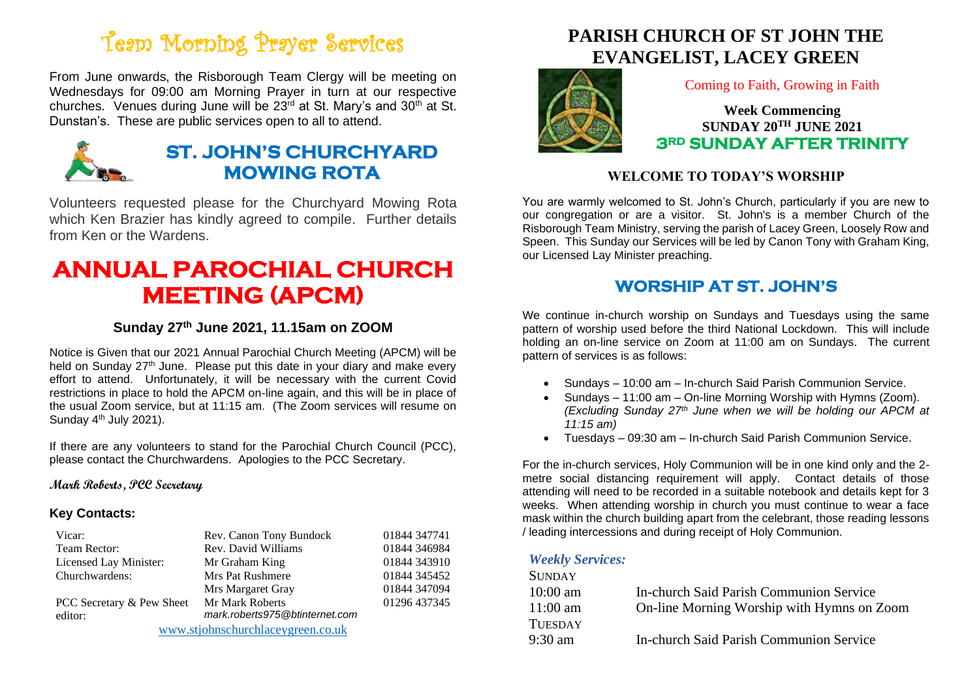# Team Morning Prayer Services

From June onwards, the Risborough Team Clergy will be meeting on Wednesdays for 09:00 am Morning Prayer in turn at our respective churches. Venues during June will be  $23<sup>rd</sup>$  at St. Mary's and  $30<sup>th</sup>$  at St. Dunstan's. These are public services open to all to attend.



## **ST. JOHN'S CHURCHYARD MOWING ROTA**

Volunteers requested please for the Churchyard Mowing Rota which Ken Brazier has kindly agreed to compile. Further details from Ken or the Wardens.

# **ANNUAL PAROCHIAL CHURCH MEETING (APCM)**

### **Sunday 27th June 2021, 11.15am on ZOOM**

Notice is Given that our 2021 Annual Parochial Church Meeting (APCM) will be held on Sunday 27<sup>th</sup> June. Please put this date in your diary and make every effort to attend. Unfortunately, it will be necessary with the current Covid restrictions in place to hold the APCM on-line again, and this will be in place of the usual Zoom service, but at 11:15 am. (The Zoom services will resume on Sunday 4<sup>th</sup> July 2021).

If there are any volunteers to stand for the Parochial Church Council (PCC), please contact the Churchwardens. Apologies to the PCC Secretary.

#### **Mark Roberts, PCC Secretary**

#### **Key Contacts:**

| Vicar:                            | Rev. Canon Tony Bundock        | 01844 347741 |
|-----------------------------------|--------------------------------|--------------|
| Team Rector:                      | Rev. David Williams            | 01844 346984 |
| Licensed Lay Minister:            | Mr Graham King                 | 01844 343910 |
| Churchwardens:                    | Mrs Pat Rushmere               | 01844 345452 |
|                                   | Mrs Margaret Gray              | 01844 347094 |
| PCC Secretary & Pew Sheet         | Mr Mark Roberts                | 01296 437345 |
| editor:                           | mark.roberts975@btinternet.com |              |
| www.stjohnschurchlaceygreen.co.uk |                                |              |

# **PARISH CHURCH OF ST JOHN THE EVANGELIST, LACEY GREEN**



Coming to Faith, Growing in Faith

**Week Commencing SUNDAY 20TH JUNE 2021 3RD SUNDAY AFTER TRINITY** 

### **WELCOME TO TODAY'S WORSHIP**

You are warmly welcomed to St. John's Church, particularly if you are new to our congregation or are a visitor. St. John's is a member Church of the Risborough Team Ministry, serving the parish of Lacey Green, Loosely Row and Speen. This Sunday our Services will be led by Canon Tony with Graham King, our Licensed Lay Minister preaching.

## **WORSHIP AT ST. JOHN'S**

We continue in-church worship on Sundays and Tuesdays using the same pattern of worship used before the third National Lockdown. This will include holding an on-line service on Zoom at 11:00 am on Sundays. The current pattern of services is as follows:

- Sundays 10:00 am In-church Said Parish Communion Service.
- Sundays 11:00 am On-line Morning Worship with Hymns (Zoom). *(Excluding Sunday 27th June when we will be holding our APCM at 11:15 am)*
- Tuesdays 09:30 am In-church Said Parish Communion Service.

For the in-church services, Holy Communion will be in one kind only and the 2 metre social distancing requirement will apply. Contact details of those attending will need to be recorded in a suitable notebook and details kept for 3 weeks. When attending worship in church you must continue to wear a face mask within the church building apart from the celebrant, those reading lessons / leading intercessions and during receipt of Holy Communion.

#### *Weekly Services:*

| SUNDAY         |                                            |
|----------------|--------------------------------------------|
| $10:00$ am     | In-church Said Parish Communion Service    |
| $11:00$ am     | On-line Morning Worship with Hymns on Zoom |
| <b>TUESDAY</b> |                                            |
| 9:30 am        | In-church Said Parish Communion Service    |
|                |                                            |